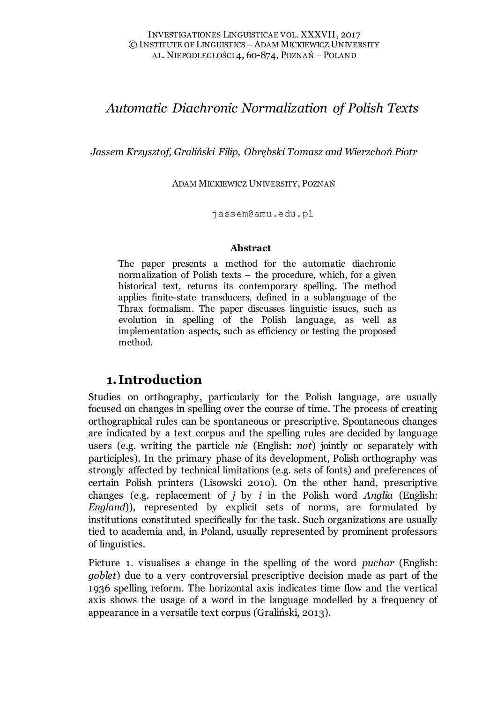# *Automatic Diachronic Normalization of Polish Texts*

*Jassem Krzysztof, Graliński Filip, Obrębski Tomasz and Wierzchoń Piotr*

ADAM MICKIEWICZ UNIVERSITY, POZNAŃ

[jassem@amu.edu.pl](mailto:jassem@amu.edu.pl)

#### **Abstract**

The paper presents a method for the automatic diachronic normalization of Polish texts – the procedure, which, for a given historical text, returns its contemporary spelling. The method applies finite-state transducers, defined in a sublanguage of the Thrax formalism. The paper discusses linguistic issues, such as evolution in spelling of the Polish language, as well as implementation aspects, such as efficiency or testing the proposed method.

# **1. Introduction**

Studies on orthography, particularly for the Polish language, are usually focused on changes in spelling over the course of time. The process of creating orthographical rules can be spontaneous or prescriptive. Spontaneous changes are indicated by a text corpus and the spelling rules are decided by language users (e.g. writing the particle *nie* (English: *not*) jointly or separately with participles). In the primary phase of its development, Polish orthography was strongly affected by technical limitations (e.g. sets of fonts) and preferences of certain Polish printers (Lisowski 2010). On the other hand, prescriptive changes (e.g. replacement of *j* by *i* in the Polish word *Anglia* (English: *England*)), represented by explicit sets of norms, are formulated by institutions constituted specifically for the task. Such organizations are usually tied to academia and, in Poland, usually represented by prominent professors of linguistics.

Picture 1. visualises a change in the spelling of the word *puchar* (English: *goblet*) due to a very controversial prescriptive decision made as part of the 1936 spelling reform. The horizontal axis indicates time flow and the vertical axis shows the usage of a word in the language modelled by a frequency of appearance in a versatile text corpus (Graliński, 2013).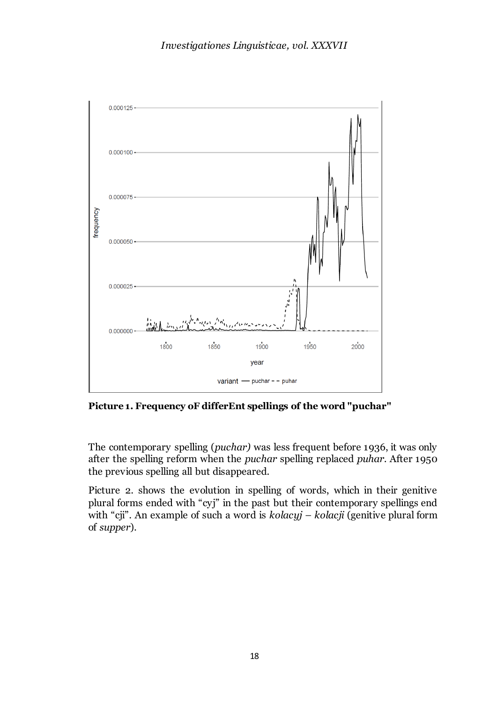

**Picture 1. Frequency oF differEnt spellings of the word "puchar"**

The contemporary spelling (*puchar)* was less frequent before 1936, it was only after the spelling reform when the *puchar* spelling replaced *puhar*. After 1950 the previous spelling all but disappeared.

Picture 2. shows the evolution in spelling of words, which in their genitive plural forms ended with "cyj" in the past but their contemporary spellings end with "cji". An example of such a word is *kolacyj – kolacji* (genitive plural form of *supper*).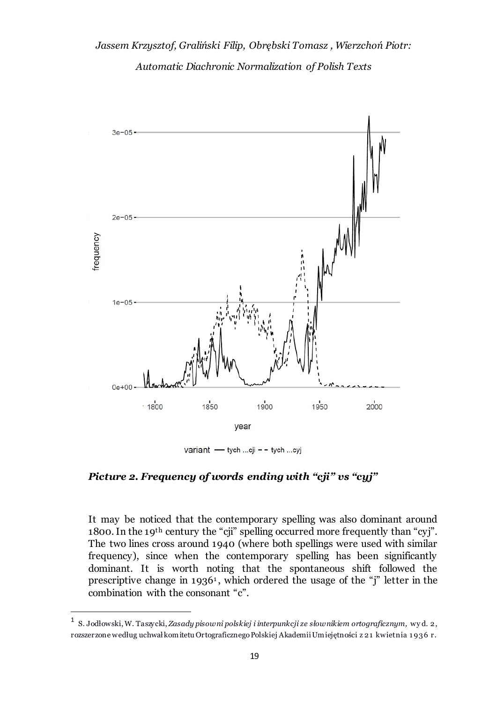# *Jassem Krzysztof, Graliński Filip, Obrębski Tomasz , Wierzchoń Piotr: Automatic Diachronic Normalization of Polish Texts*



variant - tych ...cji - - tych ...cyj

*Picture 2. Frequency of words ending with "cji" vs "cyj"*

It may be noticed that the contemporary spelling was also dominant around 1800. In the 19th century the "cji" spelling occurred more frequently than "cyj". The two lines cross around 1940 (where both spellings were used with similar frequency), since when the contemporary spelling has been significantly dominant. It is worth noting that the spontaneous shift followed the prescriptive change in 1936<sup>1</sup> , which ordered the usage of the "j" letter in the combination with the consonant "c".

<sup>1</sup> S. Jodłowski, W. Taszycki, *Zasady pisowni polskiej i interpunkcji ze słownikiem ortograficznym,* wy d. 2, rozszerzone według uchwał komitetu Ortograficznego Polskiej Akademii Umiejętności z 21 kwietnia 1 936 r.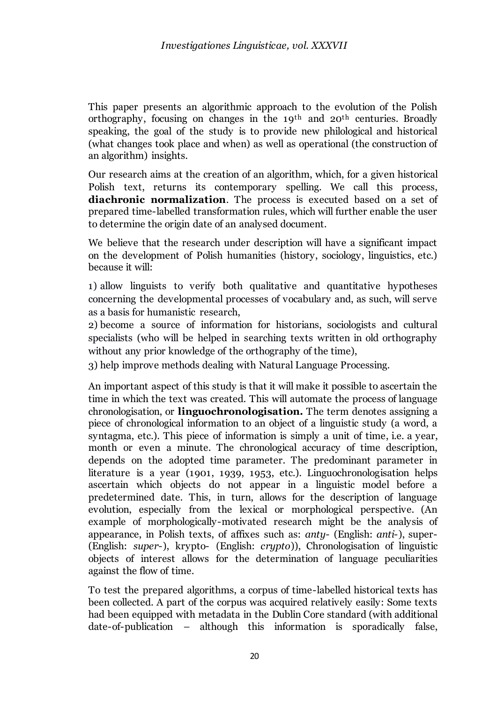This paper presents an algorithmic approach to the evolution of the Polish orthography, focusing on changes in the 19th and 20th centuries. Broadly speaking, the goal of the study is to provide new philological and historical (what changes took place and when) as well as operational (the construction of an algorithm) insights.

Our research aims at the creation of an algorithm, which, for a given historical Polish text, returns its contemporary spelling. We call this process, **diachronic normalization**. The process is executed based on a set of prepared time-labelled transformation rules, which will further enable the user to determine the origin date of an analysed document.

We believe that the research under description will have a significant impact on the development of Polish humanities (history, sociology, linguistics, etc.) because it will:

1) allow linguists to verify both qualitative and quantitative hypotheses concerning the developmental processes of vocabulary and, as such, will serve as a basis for humanistic research,

2) become a source of information for historians, sociologists and cultural specialists (who will be helped in searching texts written in old orthography without any prior knowledge of the orthography of the time),

3) help improve methods dealing with Natural Language Processing.

An important aspect of this study is that it will make it possible to ascertain the time in which the text was created. This will automate the process of language chronologisation, or **linguochronologisation.** The term denotes assigning a piece of chronological information to an object of a linguistic study (a word, a syntagma, etc.). This piece of information is simply a unit of time, i.e. a year, month or even a minute. The chronological accuracy of time description, depends on the adopted time parameter. The predominant parameter in literature is a year (1901, 1939, 1953, etc.). Linguochronologisation helps ascertain which objects do not appear in a linguistic model before a predetermined date. This, in turn, allows for the description of language evolution, especially from the lexical or morphological perspective. (An example of morphologically-motivated research might be the analysis of appearance, in Polish texts, of affixes such as: *anty-* (English: *anti-*), super- (English: *super-*), krypto- (English: *crypto*)), Chronologisation of linguistic objects of interest allows for the determination of language peculiarities against the flow of time.

To test the prepared algorithms, a corpus of time-labelled historical texts has been collected. A part of the corpus was acquired relatively easily: Some texts had been equipped with metadata in the Dublin Core standard (with additional date-of-publication – although this information is sporadically false,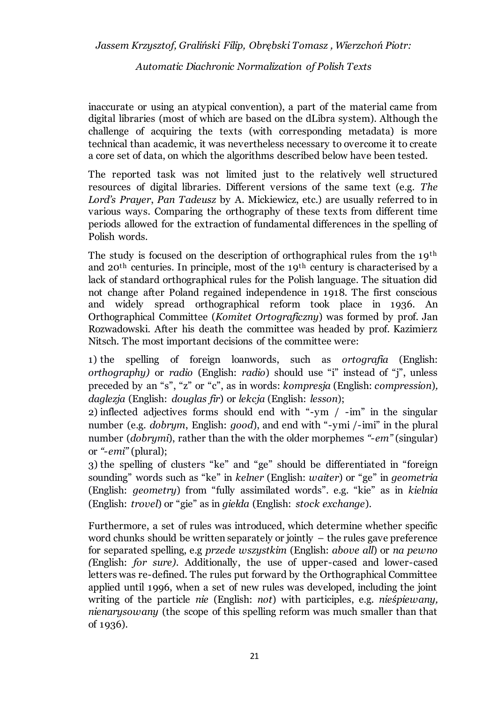*Automatic Diachronic Normalization of Polish Texts*

inaccurate or using an atypical convention), a part of the material came from digital libraries (most of which are based on the dLibra system). Although the challenge of acquiring the texts (with corresponding metadata) is more technical than academic, it was nevertheless necessary to overcome it to create a core set of data, on which the algorithms described below have been tested.

The reported task was not limited just to the relatively well structured resources of digital libraries. Different versions of the same text (e.g. *The Lord's Prayer, Pan Tadeusz by A. Mickiewicz, etc.) are usually referred to in* various ways. Comparing the orthography of these texts from different time periods allowed for the extraction of fundamental differences in the spelling of Polish words.

The study is focused on the description of orthographical rules from the 19th and 20th centuries. In principle, most of the 19th century is characterised by a lack of standard orthographical rules for the Polish language. The situation did not change after Poland regained independence in 1918. The first conscious and widely spread orthographical reform took place in 1936. An Orthographical Committee (*Komitet Ortograficzny*) was formed by prof. Jan Rozwadowski. After his death the committee was headed by prof. Kazimierz Nitsch. The most important decisions of the committee were:

1) the spelling of foreign loanwords, such as *ortografia* (English: *orthography)* or *radio* (English: *radio*) should use "i" instead of "j", unless preceded by an "s", "z" or "c", as in words: *kompresja* (English: *compression*)*, daglezja* (English: *douglas fir*) or *lekcja* (English: *lesson*);

2) inflected adjectives forms should end with "-ym / -im" in the singular number (e.g. *dobrym*, English: *good*), and end with "-ymi /-imi" in the plural number (*dobrymi*), rather than the with the older morphemes *"-em"* (singular) or *"-emi"* (plural);

3) the spelling of clusters "ke" and "ge" should be differentiated in "foreign sounding" words such as "ke" in *kelner* (English: *waiter*) or "ge" in *geometria*  (English: *geometry*) from "fully assimilated words". e.g. "kie" as in *kielnia* (English: *trovel*) or "gie" as in *giełda* (English: *stock exchange*).

Furthermore, a set of rules was introduced, which determine whether specific word chunks should be written separately or jointly – the rules gave preference for separated spelling, e.g *przede wszystkim* (English: *above all*) or *na pewno (*English: *for sure)*. Additionally, the use of upper-cased and lower-cased letters was re-defined. The rules put forward by the Orthographical Committee applied until 1996, when a set of new rules was developed, including the joint writing of the particle *nie* (English: *not*) with participles, e.g. *nieśpiewany, nienarysowany* (the scope of this spelling reform was much smaller than that of 1936).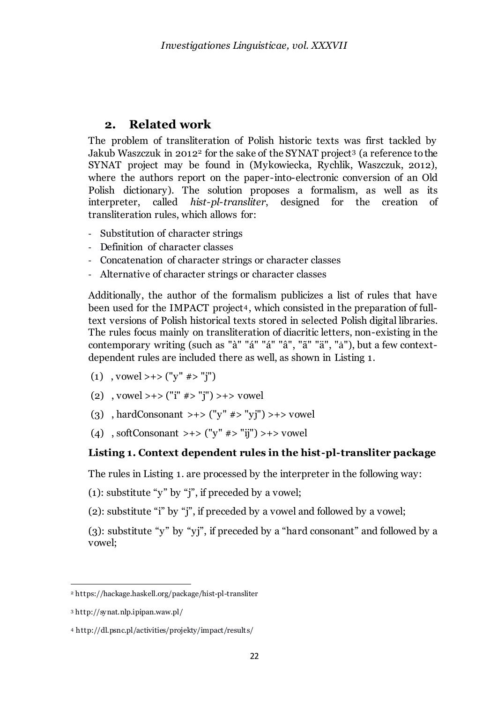### **2. Related work**

The problem of transliteration of Polish historic texts was first tackled by Jakub Waszczuk in 2012<sup>2</sup> for the sake of the SYNAT project<sup>3</sup> (a reference to the SYNAT project may be found in (Mykowiecka, Rychlik, Waszczuk, 2012), where the authors report on the paper-into-electronic conversion of an Old Polish dictionary). The solution proposes a formalism, as well as its interpreter, called *hist-pl-transliter*, designed for the creation of transliteration rules, which allows for:

- Substitution of character strings
- Definition of character classes
- Concatenation of character strings or character classes
- Alternative of character strings or character classes

Additionally, the author of the formalism publicizes a list of rules that have been used for the IMPACT project<sup>4</sup> , which consisted in the preparation of fulltext versions of Polish historical texts stored in selected Polish digital libraries. The rules focus mainly on transliteration of diacritic letters, non-existing in the contemporary writing (such as "à" "á" "á" "â", "ã" "ä", "a"), but a few contextdependent rules are included there as well, as shown in Listing 1.

- (1) , vowel >+> ("y" #> "j")
- (2) , vowel > + > ("i"  $\#$  > "j") > + > vowel
- (3) , hardConsonant >+> ("y" #> "yj") >+> vowel
- (4) , softConsonant >+> ("y" #> "ij") >+> vowel

### **Listing 1. Context dependent rules in the hist-pl-transliter package**

The rules in Listing 1. are processed by the interpreter in the following way:

(1): substitute "y" by "j", if preceded by a vowel;

(2): substitute "i" by "j", if preceded by a vowel and followed by a vowel;

(3): substitute "y" by "yj", if preceded by a "hard consonant" and followed by a vowel;

<sup>2</sup> https://hackage.haskell.org/package/hist-pl-transliter

<sup>3</sup> http://synat.nlp.ipipan.waw.pl/

<sup>4</sup> http://dl.psnc.pl/activities/projekty/impact/result s/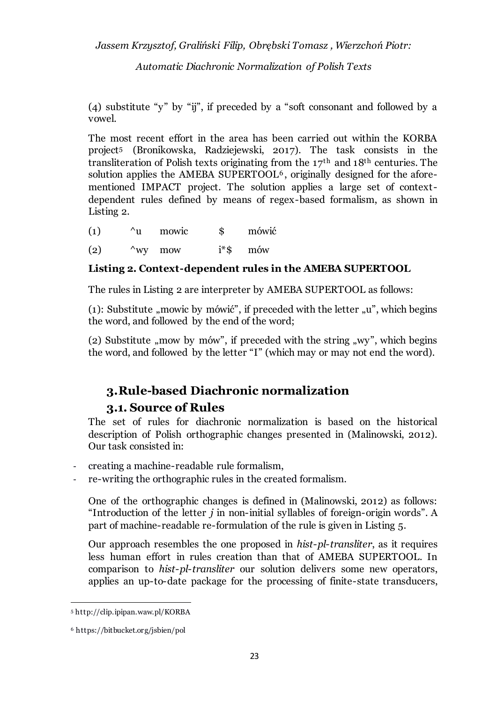*Automatic Diachronic Normalization of Polish Texts*

(4) substitute "y" by "ij", if preceded by a "soft consonant and followed by a vowel.

The most recent effort in the area has been carried out within the KORBA project<sup>5</sup> (Bronikowska, Radziejewski, 2017). The task consists in the transliteration of Polish texts originating from the 17th and 18th centuries. The solution applies the AMEBA SUPERTOOL<sup>6</sup>, originally designed for the aforementioned IMPACT project. The solution applies a large set of contextdependent rules defined by means of regex-based formalism, as shown in Listing 2.

(1) ^u mowic \$ mówić

(2)  $\wedge$  wy mow i<sup>\*</sup>\$ mów

### **Listing 2. Context-dependent rules in the AMEBA SUPERTOOL**

The rules in Listing 2 are interpreter by AMEBA SUPERTOOL as follows:

(1): Substitute "mowic by mówić", if preceded with the letter  $\mu$ ", which begins the word, and followed by the end of the word;

(2) Substitute , mow by mów", if preceded with the string  $\mu$ wy", which begins the word, and followed by the letter "I" (which may or may not end the word).

# **3.Rule-based Diachronic normalization**

### **3.1. Source of Rules**

The set of rules for diachronic normalization is based on the historical description of Polish orthographic changes presented in (Malinowski, 2012). Our task consisted in:

- creating a machine-readable rule formalism,
- re-writing the orthographic rules in the created formalism.

One of the orthographic changes is defined in (Malinowski, 2012) as follows: "Introduction of the letter *j* in non-initial syllables of foreign-origin words". A part of machine-readable re-formulation of the rule is given in Listing 5.

Our approach resembles the one proposed in *hist-pl-transliter*, as it requires less human effort in rules creation than that of AMEBA SUPERTOOL. In comparison to *hist-pl-transliter* our solution delivers some new operators, applies an up-to-date package for the processing of finite-state transducers,

<sup>5</sup> http://clip.ipipan.waw.pl/KORBA

<sup>6</sup> https://bitbucket.org/jsbien/pol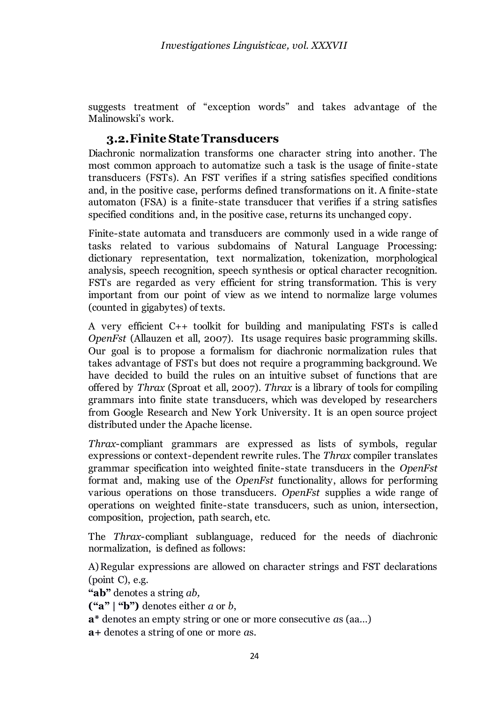suggests treatment of "exception words" and takes advantage of the Malinowski's work.

### **3.2.Finite State Transducers**

Diachronic normalization transforms one character string into another. The most common approach to automatize such a task is the usage of finite-state transducers (FSTs). An FST verifies if a string satisfies specified conditions and, in the positive case, performs defined transformations on it. A finite-state automaton (FSA) is a finite-state transducer that verifies if a string satisfies specified conditions and, in the positive case, returns its unchanged copy.

Finite-state automata and transducers are commonly used in a wide range of tasks related to various subdomains of Natural Language Processing: dictionary representation, text normalization, tokenization, morphological analysis, speech recognition, speech synthesis or optical character recognition. FSTs are regarded as very efficient for string transformation. This is very important from our point of view as we intend to normalize large volumes (counted in gigabytes) of texts.

A very efficient C++ toolkit for building and manipulating FSTs is called *OpenFst* (Allauzen et all, 2007). Its usage requires basic programming skills. Our goal is to propose a formalism for diachronic normalization rules that takes advantage of FSTs but does not require a programming background. We have decided to build the rules on an intuitive subset of functions that are offered by *Thrax* (Sproat et all, 2007). *Thrax* is a library of tools for compiling grammars into finite state transducers, which was developed by researchers from Google Research and New York University. It is an open source project distributed under the Apache license.

*Thrax*-compliant grammars are expressed as lists of symbols, regular expressions or context-dependent rewrite rules. The *Thrax* compiler translates grammar specification into weighted finite-state transducers in the *OpenFst* format and, making use of the *OpenFst* functionality, allows for performing various operations on those transducers. *OpenFst* supplies a wide range of operations on weighted finite-state transducers, such as union, intersection, composition, projection, path search, etc.

The *Thrax*-compliant sublanguage, reduced for the needs of diachronic normalization, is defined as follows:

A)Regular expressions are allowed on character strings and FST declarations (point C), e.g.

**"ab"** denotes a string *ab,* 

**("a" | "b")** denotes either *a* or *b*,

**a\*** denotes an empty string or one or more consecutive *a*s (aa…)

**a+** denotes a string of one or more *a*s.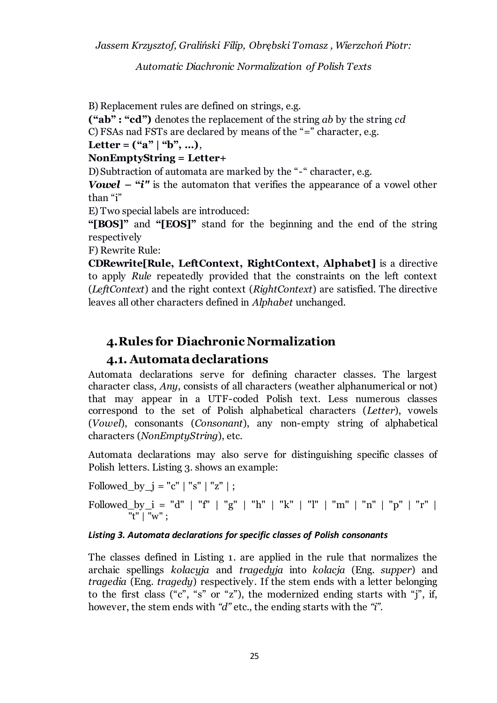*Automatic Diachronic Normalization of Polish Texts*

B) Replacement rules are defined on strings, e.g.

**("ab" : "cd")** denotes the replacement of the string *ab* by the string *cd* C) FSAs nad FSTs are declared by means of the "=" character, e.g.

Letter =  $("a" | "b", ...),$ 

### **NonEmptyString = Letter+**

D)Subtraction of automata are marked by the "-" character, e.g.

*Vowel* **– "***i"* is the automaton that verifies the appearance of a vowel other than "i"

E) Two special labels are introduced:

**"[BOS]"** and **"[EOS]"** stand for the beginning and the end of the string respectively

F) Rewrite Rule:

**CDRewrite[Rule, LeftContext, RightContext, Alphabet]** is a directive to apply *Rule* repeatedly provided that the constraints on the left context (*LeftContext*) and the right context (*RightContext*) are satisfied. The directive leaves all other characters defined in *Alphabet* unchanged.

# **4.Rules for Diachronic Normalization**

# **4.1. Automata declarations**

Automata declarations serve for defining character classes. The largest character class, *Any*, consists of all characters (weather alphanumerical or not) that may appear in a UTF-coded Polish text. Less numerous classes correspond to the set of Polish alphabetical characters (*Letter*), vowels (*Vowel*), consonants (*Consonant*), any non-empty string of alphabetical characters (*NonEmptyString*), etc.

Automata declarations may also serve for distinguishing specific classes of Polish letters. Listing 3. shows an example:

Followed\_by\_j = "c" | "s" | "z" | ; Followed\_by\_i = "d" | "f" | "g" | "h" | "k" | "l" | "m" | "n" | "p" | "r" | "t" | "w" ;

### *Listing 3. Automata declarations for specific classes of Polish consonants*

The classes defined in Listing 1. are applied in the rule that normalizes the archaic spellings *kolacyja* and *tragedyja* into *kolacja* (Eng. *supper*) and *tragedia* (Eng. *tragedy*) respectively. If the stem ends with a letter belonging to the first class ("c", "s" or "z"), the modernized ending starts with "j", if, however, the stem ends with *"d"* etc., the ending starts with the *"i"*.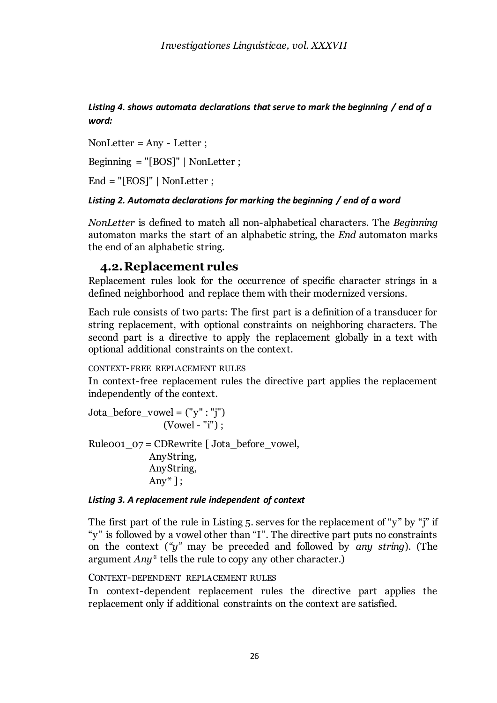*Listing 4. shows automata declarations that serve to mark the beginning / end of a word:*

NonLetter =  $Any - Letter$ ; Beginning = "[BOS]" | NonLetter ; End = "[EOS]" | NonLetter ;

### *Listing 2. Automata declarations for marking the beginning / end of a word*

*NonLetter* is defined to match all non-alphabetical characters. The *Beginning* automaton marks the start of an alphabetic string, the *End* automaton marks the end of an alphabetic string.

### **4.2.Replacement rules**

Replacement rules look for the occurrence of specific character strings in a defined neighborhood and replace them with their modernized versions.

Each rule consists of two parts: The first part is a definition of a transducer for string replacement, with optional constraints on neighboring characters. The second part is a directive to apply the replacement globally in a text with optional additional constraints on the context.

CONTEXT-FREE REPLACEMENT RULES

In context-free replacement rules the directive part applies the replacement independently of the context.

 $Jota\_before\_vowel = ("y" : "j")$ (Vowel - "i") ;

Ruleoo1\_07 = CDRewrite [ Jota\_before\_vowel, AnyString, AnyString, Any $*$ ];

#### *Listing 3. A replacement rule independent of context*

The first part of the rule in Listing 5. serves for the replacement of "y" by "j" if "y" is followed by a vowel other than "I". The directive part puts no constraints on the context (*"y"* may be preceded and followed by *any string*). (The argument *Any\** tells the rule to copy any other character.)

CONTEXT-DEPENDENT REPLACEMENT RULES

In context-dependent replacement rules the directive part applies the replacement only if additional constraints on the context are satisfied.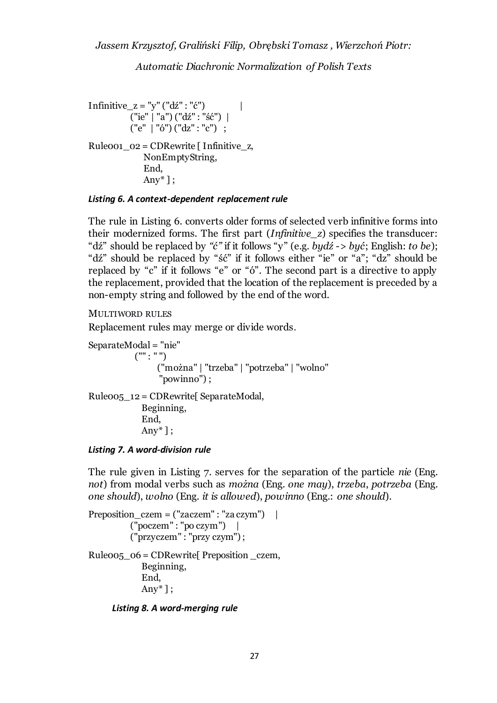*Automatic Diachronic Normalization of Polish Texts*

Infinitive\_z = "y" ("dź" : "ć") | ("ie" | "a") ("dź" : "ść") | ("e" | "ó") ("dz" : "c") ; Rule001\_02 = CDRewrite [ Infinitive\_z, NonEmptyString, End, Any $*$ ]:

#### *Listing 6. A context-dependent replacement rule*

The rule in Listing 6. converts older forms of selected verb infinitive forms into their modernized forms. The first part (*Infinitive\_z*) specifies the transducer: "dź" should be replaced by *"ć"* if it follows "y" (e.g. *bydź* -> *być*; English: *to be*); "dź" should be replaced by "ść" if it follows either "ie" or "a"; "dz" should be replaced by "c" if it follows "e" or "ó". The second part is a directive to apply the replacement, provided that the location of the replacement is preceded by a non-empty string and followed by the end of the word.

```
MULTIWORD RULES
```
Replacement rules may merge or divide words.

SeparateModal = "nie" ("" : " ") ("można" | "trzeba" | "potrzeba" | "wolno" "powinno") ; Rule005\_12 = CDRewrite[ SeparateModal, Beginning, End, Any $*$ ];

*Listing 7. A word-division rule*

The rule given in Listing 7. serves for the separation of the particle *nie* (Eng. *not*) from modal verbs such as *można* (Eng. *one may*), *trzeba*, *potrzeba* (Eng. *one should*), *wolno* (Eng. *it is allowed*), *powinno* (Eng.: *one should*).

```
Preposition_czem = ("zaczem" : "za czym") |
           ("poczem" : "po czym") |
           ("przyczem" : "przy czym") ;
Rule005 06 = \text{CDRewrite} Preposition czem,
             Beginning,
             End,
            Any*];
```
*Listing 8. A word-merging rule*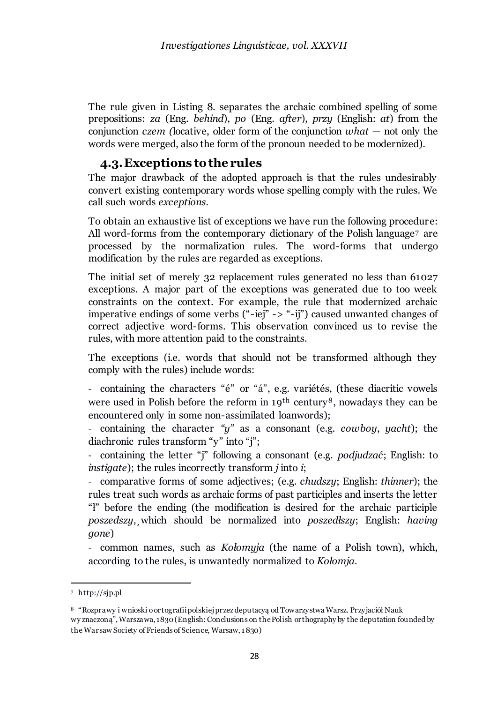The rule given in Listing 8. separates the archaic combined spelling of some prepositions: *za* (Eng. *behind*), *po* (Eng. *after*), *przy* (English: *at*) from the conjunction *czem (*locative, older form of the conjunction *what —* not only the words were merged, also the form of the pronoun needed to be modernized).

### **4.3.Exceptions to the rules**

The major drawback of the adopted approach is that the rules undesirably convert existing contemporary words whose spelling comply with the rules. We call such words *exceptions.* 

To obtain an exhaustive list of exceptions we have run the following procedure: All word-forms from the contemporary dictionary of the Polish language<sup>7</sup> are processed by the normalization rules. The word-forms that undergo modification by the rules are regarded as exceptions.

The initial set of merely 32 replacement rules generated no less than 61027 exceptions. A major part of the exceptions was generated due to too week constraints on the context. For example, the rule that modernized archaic imperative endings of some verbs ("-iej" -> "-ij") caused unwanted changes of correct adjective word-forms. This observation convinced us to revise the rules, with more attention paid to the constraints.

The exceptions (i.e. words that should not be transformed although they comply with the rules) include words:

- containing the characters "é" or "á", e.g. variétés, (these diacritic vowels were used in Polish before the reform in 19<sup>th</sup> century<sup>8</sup>, nowadays they can be encountered only in some non-assimilated loanwords);

- containing the character *"y"* as a consonant (e.g. *cowboy*, *yacht*); the diachronic rules transform "y" into "j";

- containing the letter "j" following a consonant (e.g. *podjudzać*; English: to *instigate*); the rules incorrectly transform *j* into *i*;

- comparative forms of some adjectives; (e.g. *chudszy*; English: *thinner*); the rules treat such words as archaic forms of past participles and inserts the letter "ł" before the ending (the modification is desired for the archaic participle *poszedszy*,*¸*which should be normalized into *poszedłszy*; English: *having gone*)

- common names, such as *Kołomyja* (the name of a Polish town), which, according to the rules, is unwantedly normalized to *Kołomja*.

<sup>7</sup> http://sjp.pl

<sup>8</sup> "Rozprawy i wnioski o ortografii polskiej przez deputacyą od Towarzystwa Warsz. Przyjaciół Nauk wy znaczoną", Warszawa, 1830 (English: Conclusions on the Polish orthography by the deputation founded by the Warsaw Society of Friends of Science, Warsaw, 1 830)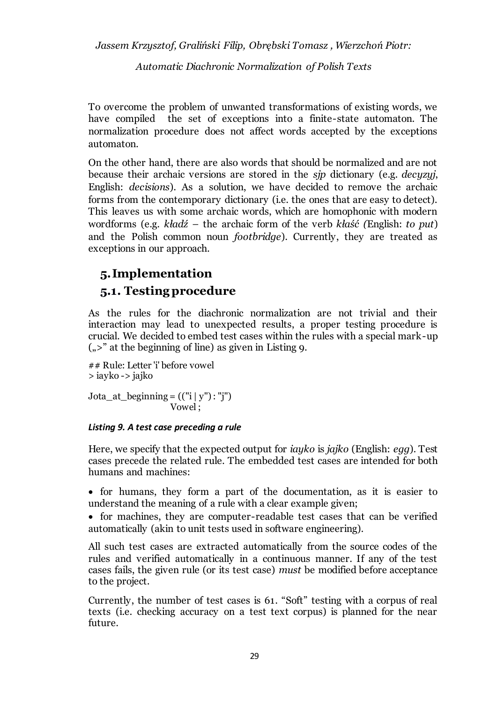*Automatic Diachronic Normalization of Polish Texts*

To overcome the problem of unwanted transformations of existing words, we have compiled the set of exceptions into a finite-state automaton. The normalization procedure does not affect words accepted by the exceptions automaton.

On the other hand, there are also words that should be normalized and are not because their archaic versions are stored in the *sjp* dictionary (e.g. *decyzyj*, English: *decisions*). As a solution, we have decided to remove the archaic forms from the contemporary dictionary (i.e. the ones that are easy to detect). This leaves us with some archaic words, which are homophonic with modern wordforms (e.g. *kładź* – the archaic form of the verb *kłaść (*English: *to put*) and the Polish common noun *footbridge*). Currently, they are treated as exceptions in our approach.

# **5.Implementation**

# **5.1. Testing procedure**

As the rules for the diachronic normalization are not trivial and their interaction may lead to unexpected results, a proper testing procedure is crucial. We decided to embed test cases within the rules with a special mark-up  $\left( \right| \>$ " at the beginning of line) as given in Listing 9.

## Rule: Letter 'i' before vowel > iayko -> jajko

Jota\_at\_beginning =  $(("i | y") : "j")$ Vowel ;

### *Listing 9. A test case preceding a rule*

Here, we specify that the expected output for *iayko* is *jajko* (English: *egg*). Test cases precede the related rule. The embedded test cases are intended for both humans and machines:

• for humans, they form a part of the documentation, as it is easier to understand the meaning of a rule with a clear example given;

• for machines, they are computer-readable test cases that can be verified automatically (akin to unit tests used in software engineering).

All such test cases are extracted automatically from the source codes of the rules and verified automatically in a continuous manner. If any of the test cases fails, the given rule (or its test case) *must* be modified before acceptance to the project.

Currently, the number of test cases is 61. "Soft" testing with a corpus of real texts (i.e. checking accuracy on a test text corpus) is planned for the near future.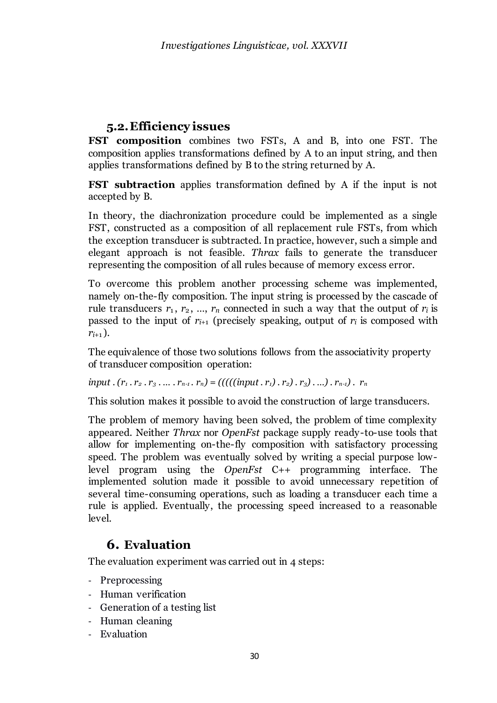# **5.2.Efficiency issues**

**FST composition** combines two FSTs, A and B, into one FST. The composition applies transformations defined by A to an input string, and then applies transformations defined by B to the string returned by A.

**FST subtraction** applies transformation defined by A if the input is not accepted by B.

In theory, the diachronization procedure could be implemented as a single FST, constructed as a composition of all replacement rule FSTs, from which the exception transducer is subtracted. In practice, however, such a simple and elegant approach is not feasible. *Thrax* fails to generate the transducer representing the composition of all rules because of memory excess error.

To overcome this problem another processing scheme was implemented, namely on-the-fly composition. The input string is processed by the cascade of rule transducers  $r_1, r_2, ..., r_n$  connected in such a way that the output of  $r_i$  is passed to the input of  $r_{i+1}$  (precisely speaking, output of  $r_i$  is composed with  $r_{i+1}$ ).

The equivalence of those two solutions follows from the associativity property of transducer composition operation:

input  $.(r_1, r_2, r_3, ..., r_{n-1}, r_n) = (((((input, r_1), r_2), r_3), ..., r_{n-1}), r_n)$ 

This solution makes it possible to avoid the construction of large transducers.

The problem of memory having been solved, the problem of time complexity appeared. Neither *Thrax* nor *OpenFst* package supply ready-to-use tools that allow for implementing on-the-fly composition with satisfactory processing speed. The problem was eventually solved by writing a special purpose lowlevel program using the *OpenFst* C++ programming interface. The implemented solution made it possible to avoid unnecessary repetition of several time-consuming operations, such as loading a transducer each time a rule is applied. Eventually, the processing speed increased to a reasonable  $level.$ 

# **6. Evaluation**

The evaluation experiment was carried out in 4 steps:

- Preprocessing
- Human verification
- Generation of a testing list
- Human cleaning
- Evaluation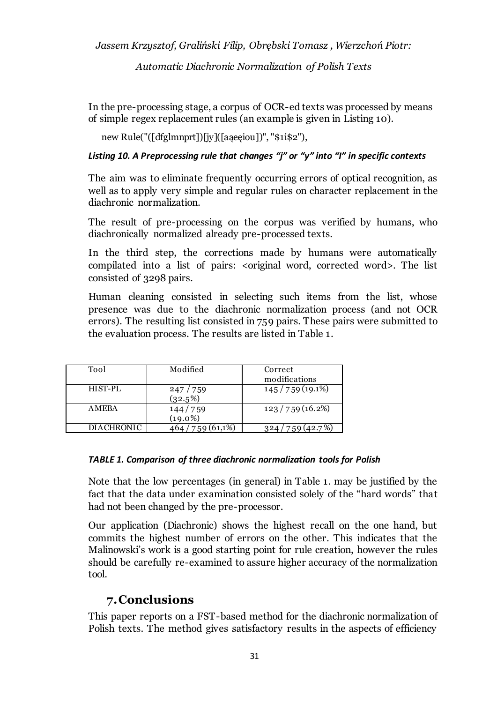*Automatic Diachronic Normalization of Polish Texts*

In the pre-processing stage, a corpus of OCR-ed texts was processed by means of simple regex replacement rules (an example is given in Listing 10).

new Rule("([dfglmnprt])[jy]([aąeęiou])", "\$1i\$2"),

### *Listing 10. A Preprocessing rule that changes "j" or "y" into "I" in specific contexts*

The aim was to eliminate frequently occurring errors of optical recognition, as well as to apply very simple and regular rules on character replacement in the diachronic normalization.

The result of pre-processing on the corpus was verified by humans, who diachronically normalized already pre-processed texts.

In the third step, the corrections made by humans were automatically compilated into a list of pairs: < original word, corrected word>. The list consisted of 3298 pairs.

Human cleaning consisted in selecting such items from the list, whose presence was due to the diachronic normalization process (and not OCR errors). The resulting list consisted in 759 pairs. These pairs were submitted to the evaluation process. The results are listed in Table 1.

| Tool              | Modified    | Correct            |
|-------------------|-------------|--------------------|
|                   |             | modifications      |
| HIST-PL           | 247/759     | 145/759(19.1%)     |
|                   | (32.5%)     |                    |
| A MEBA            | 144/759     | 123/759(16.2%)     |
|                   | $(19.0\%)$  |                    |
| <b>DIACHRONIC</b> | 759 (61,1%) | 759 (42.7%)<br>324 |

### *TABLE 1. Comparison of three diachronic normalization tools for Polish*

Note that the low percentages (in general) in Table 1. may be justified by the fact that the data under examination consisted solely of the "hard words" that had not been changed by the pre-processor.

Our application (Diachronic) shows the highest recall on the one hand, but commits the highest number of errors on the other. This indicates that the Malinowski's work is a good starting point for rule creation, however the rules should be carefully re-examined to assure higher accuracy of the normalization tool.

# **7.Conclusions**

This paper reports on a FST-based method for the diachronic normalization of Polish texts. The method gives satisfactory results in the aspects of efficiency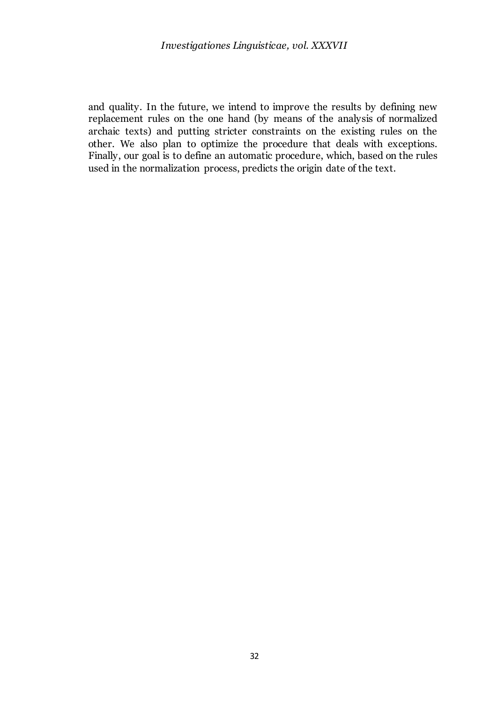and quality. In the future, we intend to improve the results by defining new replacement rules on the one hand (by means of the analysis of normalized archaic texts) and putting stricter constraints on the existing rules on the other. We also plan to optimize the procedure that deals with exceptions. Finally, our goal is to define an automatic procedure, which, based on the rules used in the normalization process, predicts the origin date of the text.